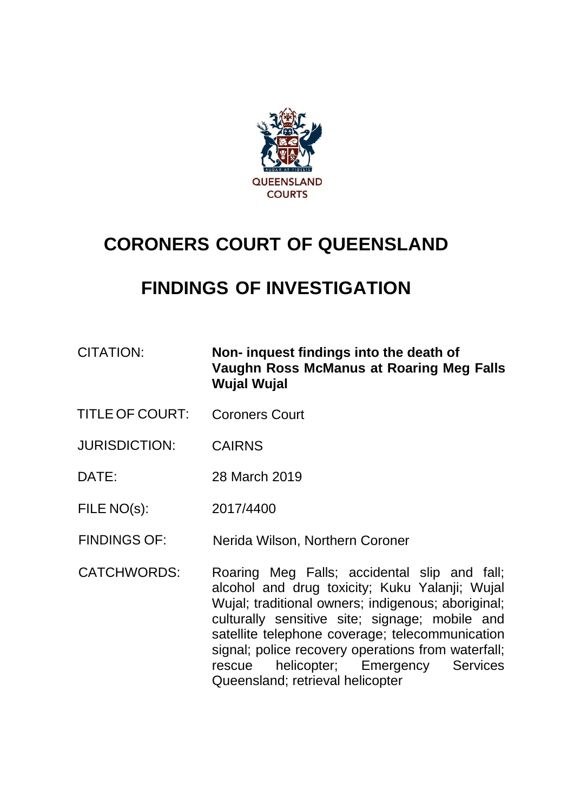

# **CORONERS COURT OF QUEENSLAND**

# **FINDINGS OF INVESTIGATION**

- CITATION: **Non- inquest findings into the death of Vaughn Ross McManus at Roaring Meg Falls Wujal Wujal**
- TITLE OF COURT: Coroners Court
- JURISDICTION: CAIRNS
- DATE: 28 March 2019
- FILE NO(s): 2017/4400
- FINDINGS OF: Nerida Wilson, Northern Coroner
- CATCHWORDS: Roaring Meg Falls; accidental slip and fall; alcohol and drug toxicity; Kuku Yalanji; Wujal Wujal; traditional owners; indigenous; aboriginal; culturally sensitive site; signage; mobile and satellite telephone coverage; telecommunication signal; police recovery operations from waterfall; rescue helicopter; Emergency Services Queensland; retrieval helicopter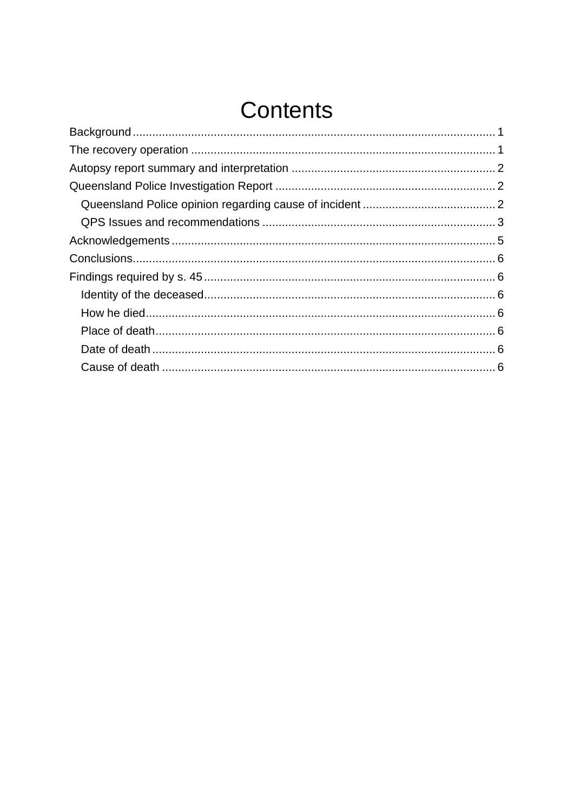# Contents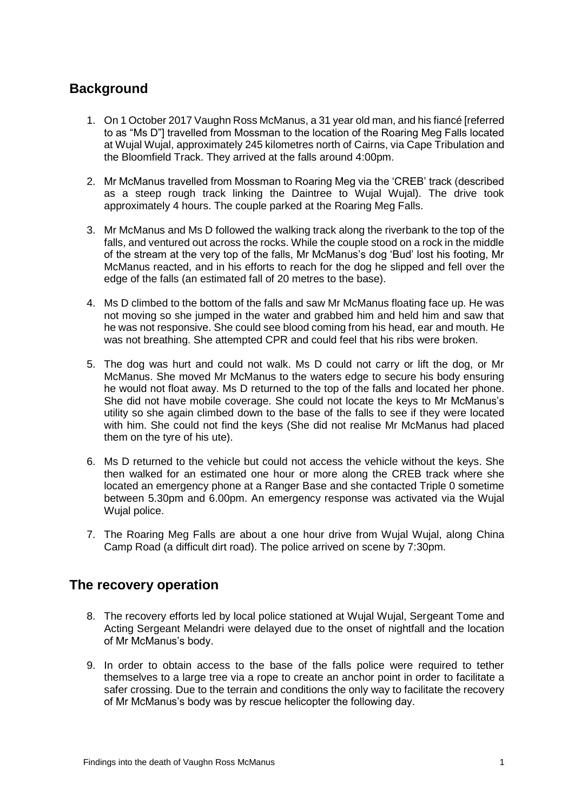# <span id="page-2-0"></span>**Background**

- 1. On 1 October 2017 Vaughn Ross McManus, a 31 year old man, and his fiancé [referred to as "Ms D"] travelled from Mossman to the location of the Roaring Meg Falls located at Wujal Wujal, approximately 245 kilometres north of Cairns, via Cape Tribulation and the Bloomfield Track. They arrived at the falls around 4:00pm.
- 2. Mr McManus travelled from Mossman to Roaring Meg via the 'CREB' track (described as a steep rough track linking the Daintree to Wujal Wujal). The drive took approximately 4 hours. The couple parked at the Roaring Meg Falls.
- 3. Mr McManus and Ms D followed the walking track along the riverbank to the top of the falls, and ventured out across the rocks. While the couple stood on a rock in the middle of the stream at the very top of the falls, Mr McManus's dog 'Bud' lost his footing, Mr McManus reacted, and in his efforts to reach for the dog he slipped and fell over the edge of the falls (an estimated fall of 20 metres to the base).
- 4. Ms D climbed to the bottom of the falls and saw Mr McManus floating face up. He was not moving so she jumped in the water and grabbed him and held him and saw that he was not responsive. She could see blood coming from his head, ear and mouth. He was not breathing. She attempted CPR and could feel that his ribs were broken.
- 5. The dog was hurt and could not walk. Ms D could not carry or lift the dog, or Mr McManus. She moved Mr McManus to the waters edge to secure his body ensuring he would not float away. Ms D returned to the top of the falls and located her phone. She did not have mobile coverage. She could not locate the keys to Mr McManus's utility so she again climbed down to the base of the falls to see if they were located with him. She could not find the keys (She did not realise Mr McManus had placed them on the tyre of his ute).
- 6. Ms D returned to the vehicle but could not access the vehicle without the keys. She then walked for an estimated one hour or more along the CREB track where she located an emergency phone at a Ranger Base and she contacted Triple 0 sometime between 5.30pm and 6.00pm. An emergency response was activated via the Wujal Wujal police.
- 7. The Roaring Meg Falls are about a one hour drive from Wujal Wujal, along China Camp Road (a difficult dirt road). The police arrived on scene by 7:30pm.

# <span id="page-2-1"></span>**The recovery operation**

- 8. The recovery efforts led by local police stationed at Wujal Wujal, Sergeant Tome and Acting Sergeant Melandri were delayed due to the onset of nightfall and the location of Mr McManus's body.
- 9. In order to obtain access to the base of the falls police were required to tether themselves to a large tree via a rope to create an anchor point in order to facilitate a safer crossing. Due to the terrain and conditions the only way to facilitate the recovery of Mr McManus's body was by rescue helicopter the following day.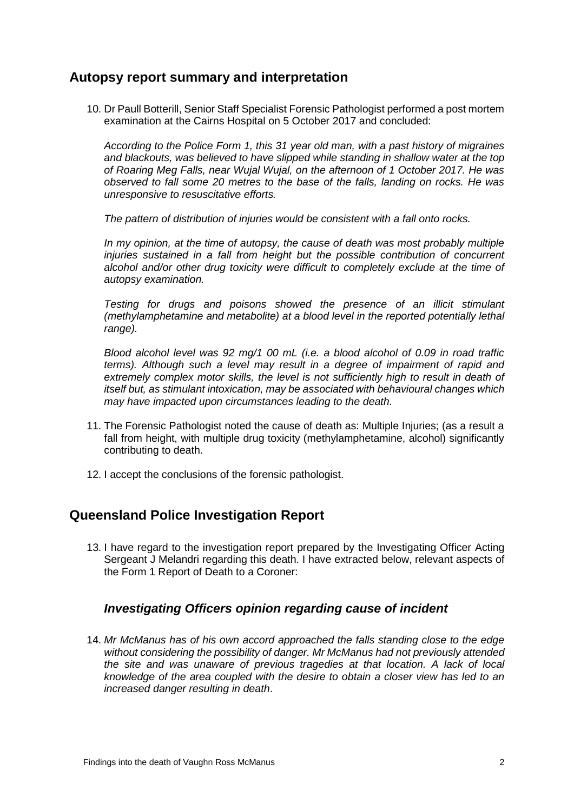### <span id="page-3-0"></span>**Autopsy report summary and interpretation**

10. Dr Paull Botterill, Senior Staff Specialist Forensic Pathologist performed a post mortem examination at the Cairns Hospital on 5 October 2017 and concluded:

*According to the Police Form 1, this 31 year old man, with a past history of migraines and blackouts, was believed to have slipped while standing in shallow water at the top of Roaring Meg Falls, near Wujal Wujal, on the afternoon of 1 October 2017. He was observed to fall some 20 metres to the base of the falls, landing on rocks. He was unresponsive to resuscitative efforts.*

*The pattern of distribution of injuries would be consistent with a fall onto rocks.* 

*In my opinion, at the time of autopsy, the cause of death was most probably multiple injuries sustained in a fall from height but the possible contribution of concurrent alcohol and/or other drug toxicity were difficult to completely exclude at the time of autopsy examination.*

*Testing for drugs and poisons showed the presence of an illicit stimulant (methylamphetamine and metabolite) at a blood level in the reported potentially lethal range).*

*Blood alcohol level was 92 mg/1 00 mL (i.e. a blood alcohol of 0.09 in road traffic terms). Although such a level may result in a degree of impairment of rapid and*  extremely complex motor skills, the level is not sufficiently high to result in death of *itself but, as stimulant intoxication, may be associated with behavioural changes which may have impacted upon circumstances leading to the death.*

- 11. The Forensic Pathologist noted the cause of death as: Multiple Injuries; (as a result a fall from height, with multiple drug toxicity (methylamphetamine, alcohol) significantly contributing to death.
- 12. I accept the conclusions of the forensic pathologist.

#### <span id="page-3-1"></span>**Queensland Police Investigation Report**

13. I have regard to the investigation report prepared by the Investigating Officer Acting Sergeant J Melandri regarding this death. I have extracted below, relevant aspects of the Form 1 Report of Death to a Coroner:

#### <span id="page-3-2"></span>*Investigating Officers opinion regarding cause of incident*

14. *Mr McManus has of his own accord approached the falls standing close to the edge without considering the possibility of danger. Mr McManus had not previously attended the site and was unaware of previous tragedies at that location. A lack of local knowledge of the area coupled with the desire to obtain a closer view has led to an increased danger resulting in death*.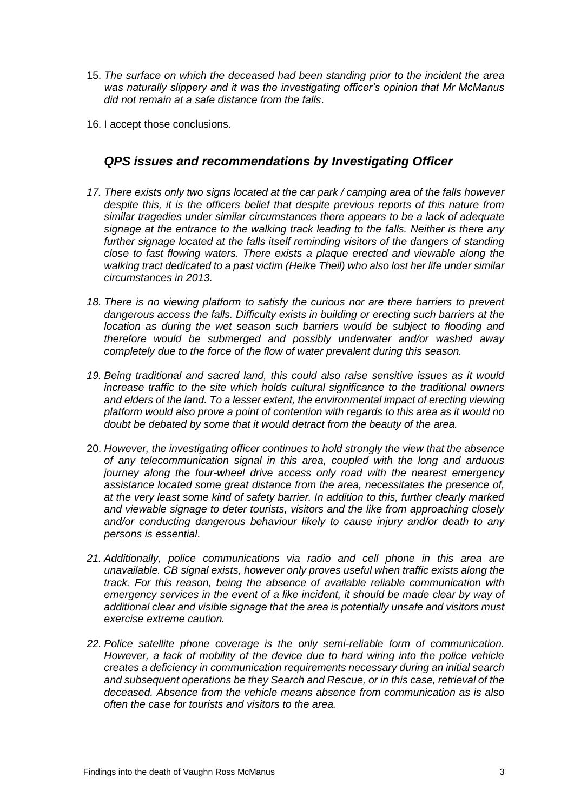- 15. *The surface on which the deceased had been standing prior to the incident the area was naturally slippery and it was the investigating officer's opinion that Mr McManus did not remain at a safe distance from the falls*.
- <span id="page-4-0"></span>16. I accept those conclusions.

#### *QPS issues and recommendations by Investigating Officer*

- *17. There exists only two signs located at the car park / camping area of the falls however despite this, it is the officers belief that despite previous reports of this nature from similar tragedies under similar circumstances there appears to be a lack of adequate signage at the entrance to the walking track leading to the falls. Neither is there any further signage located at the falls itself reminding visitors of the dangers of standing close to fast flowing waters. There exists a plaque erected and viewable along the walking tract dedicated to a past victim (Heike Theil) who also lost her life under similar circumstances in 2013.*
- 18. There is no viewing platform to satisfy the curious nor are there barriers to prevent *dangerous access the falls. Difficulty exists in building or erecting such barriers at the location as during the wet season such barriers would be subject to flooding and therefore would be submerged and possibly underwater and/or washed away completely due to the force of the flow of water prevalent during this season.*
- *19. Being traditional and sacred land, this could also raise sensitive issues as it would increase traffic to the site which holds cultural significance to the traditional owners and elders of the land. To a lesser extent, the environmental impact of erecting viewing platform would also prove a point of contention with regards to this area as it would no doubt be debated by some that it would detract from the beauty of the area.*
- 20. *However, the investigating officer continues to hold strongly the view that the absence of any telecommunication signal in this area, coupled with the long and arduous journey along the four-wheel drive access only road with the nearest emergency assistance located some great distance from the area, necessitates the presence of, at the very least some kind of safety barrier. In addition to this, further clearly marked and viewable signage to deter tourists, visitors and the like from approaching closely and/or conducting dangerous behaviour likely to cause injury and/or death to any persons is essential*.
- *21. Additionally, police communications via radio and cell phone in this area are unavailable. CB signal exists, however only proves useful when traffic exists along the track. For this reason, being the absence of available reliable communication with emergency services in the event of a like incident, it should be made clear by way of additional clear and visible signage that the area is potentially unsafe and visitors must exercise extreme caution.*
- *22. Police satellite phone coverage is the only semi-reliable form of communication. However, a lack of mobility of the device due to hard wiring into the police vehicle creates a deficiency in communication requirements necessary during an initial search and subsequent operations be they Search and Rescue, or in this case, retrieval of the deceased. Absence from the vehicle means absence from communication as is also often the case for tourists and visitors to the area.*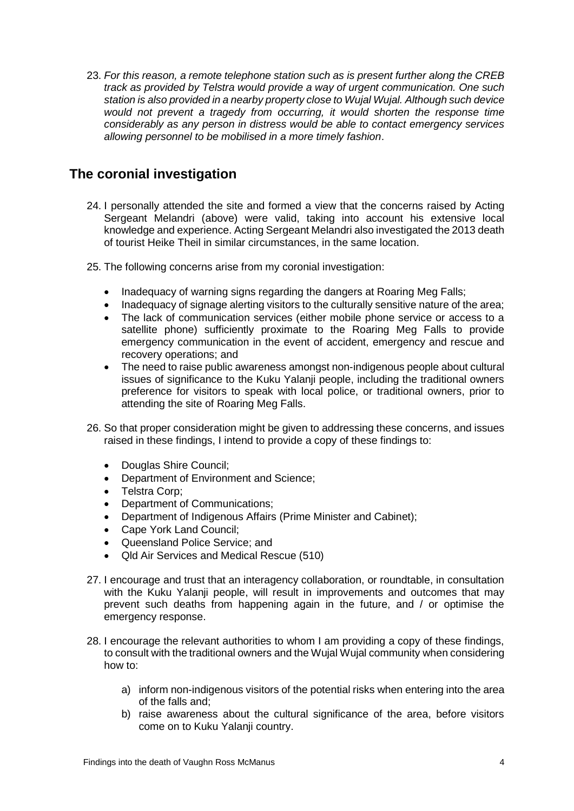23. *For this reason, a remote telephone station such as is present further along the CREB track as provided by Telstra would provide a way of urgent communication. One such station is also provided in a nearby property close to Wujal Wujal. Although such device*  would not prevent a tragedy from occurring, it would shorten the response time *considerably as any person in distress would be able to contact emergency services allowing personnel to be mobilised in a more timely fashion*.

# **The coronial investigation**

- 24. I personally attended the site and formed a view that the concerns raised by Acting Sergeant Melandri (above) were valid, taking into account his extensive local knowledge and experience. Acting Sergeant Melandri also investigated the 2013 death of tourist Heike Theil in similar circumstances, in the same location.
- 25. The following concerns arise from my coronial investigation:
	- Inadequacy of warning signs regarding the dangers at Roaring Meg Falls;
	- Inadequacy of signage alerting visitors to the culturally sensitive nature of the area;
	- The lack of communication services (either mobile phone service or access to a satellite phone) sufficiently proximate to the Roaring Meg Falls to provide emergency communication in the event of accident, emergency and rescue and recovery operations; and
	- The need to raise public awareness amongst non-indigenous people about cultural issues of significance to the Kuku Yalanji people, including the traditional owners preference for visitors to speak with local police, or traditional owners, prior to attending the site of Roaring Meg Falls.
- 26. So that proper consideration might be given to addressing these concerns, and issues raised in these findings, I intend to provide a copy of these findings to:
	- Douglas Shire Council:
	- Department of Environment and Science;<br>• Telstra Corp:
	- Telstra Corp;
	- Department of Communications;
	- Department of Indigenous Affairs (Prime Minister and Cabinet);
	- Cape York Land Council:
	- Queensland Police Service; and
	- Qld Air Services and Medical Rescue (510)
- 27. I encourage and trust that an interagency collaboration, or roundtable, in consultation with the Kuku Yalanji people, will result in improvements and outcomes that may prevent such deaths from happening again in the future, and / or optimise the emergency response.
- 28. I encourage the relevant authorities to whom I am providing a copy of these findings, to consult with the traditional owners and the Wujal Wujal community when considering how to:
	- a) inform non-indigenous visitors of the potential risks when entering into the area of the falls and;
	- b) raise awareness about the cultural significance of the area, before visitors come on to Kuku Yalanji country.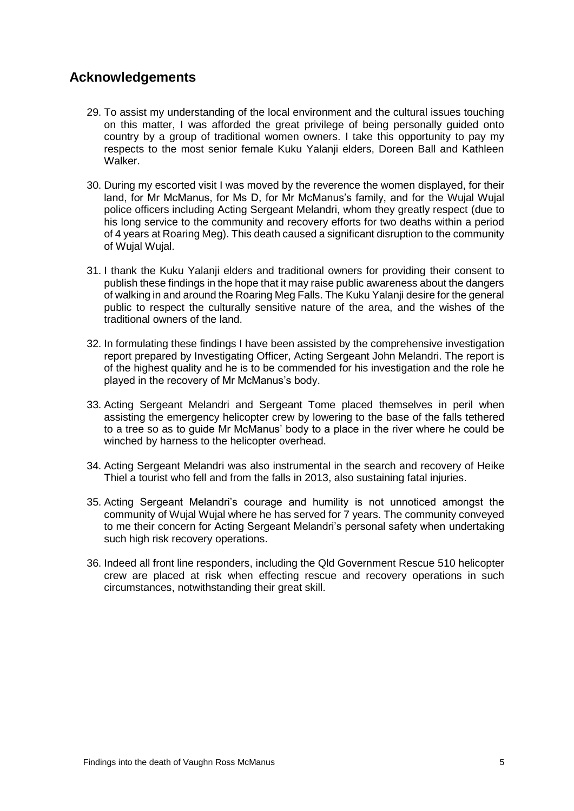# <span id="page-6-0"></span>**Acknowledgements**

- 29. To assist my understanding of the local environment and the cultural issues touching on this matter, I was afforded the great privilege of being personally guided onto country by a group of traditional women owners. I take this opportunity to pay my respects to the most senior female Kuku Yalanji elders, Doreen Ball and Kathleen Walker.
- 30. During my escorted visit I was moved by the reverence the women displayed, for their land, for Mr McManus, for Ms D, for Mr McManus's family, and for the Wujal Wujal police officers including Acting Sergeant Melandri, whom they greatly respect (due to his long service to the community and recovery efforts for two deaths within a period of 4 years at Roaring Meg). This death caused a significant disruption to the community of Wujal Wujal.
- 31. I thank the Kuku Yalanji elders and traditional owners for providing their consent to publish these findings in the hope that it may raise public awareness about the dangers of walking in and around the Roaring Meg Falls. The Kuku Yalanji desire for the general public to respect the culturally sensitive nature of the area, and the wishes of the traditional owners of the land.
- 32. In formulating these findings I have been assisted by the comprehensive investigation report prepared by Investigating Officer, Acting Sergeant John Melandri. The report is of the highest quality and he is to be commended for his investigation and the role he played in the recovery of Mr McManus's body.
- 33. Acting Sergeant Melandri and Sergeant Tome placed themselves in peril when assisting the emergency helicopter crew by lowering to the base of the falls tethered to a tree so as to guide Mr McManus' body to a place in the river where he could be winched by harness to the helicopter overhead.
- 34. Acting Sergeant Melandri was also instrumental in the search and recovery of Heike Thiel a tourist who fell and from the falls in 2013, also sustaining fatal injuries.
- 35. Acting Sergeant Melandri's courage and humility is not unnoticed amongst the community of Wujal Wujal where he has served for 7 years. The community conveyed to me their concern for Acting Sergeant Melandri's personal safety when undertaking such high risk recovery operations.
- 36. Indeed all front line responders, including the Qld Government Rescue 510 helicopter crew are placed at risk when effecting rescue and recovery operations in such circumstances, notwithstanding their great skill.